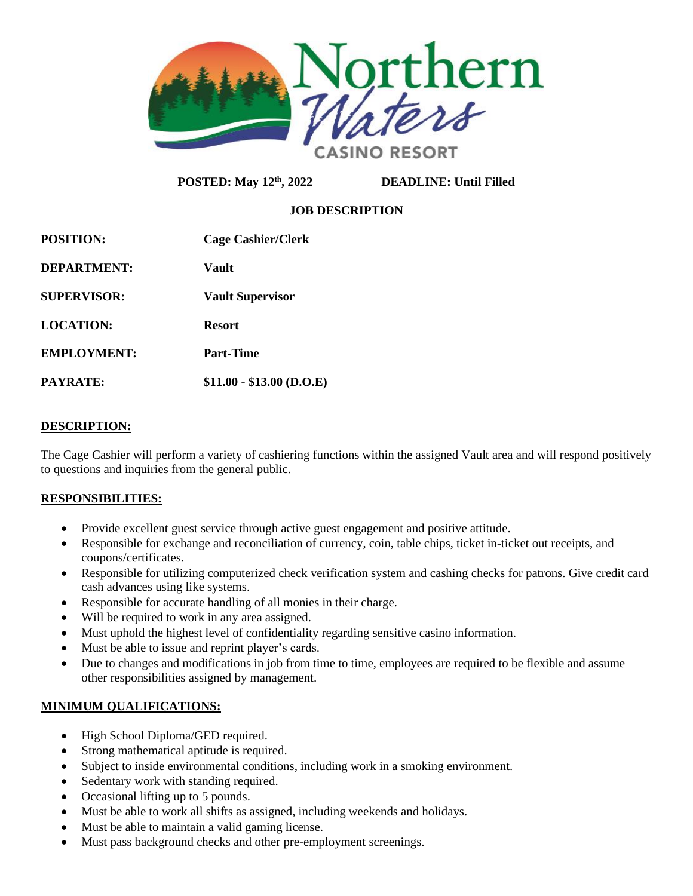

**POSTED: May 12th, 2022 DEADLINE: Until Filled** 

# **JOB DESCRIPTION**

| <b>POSITION:</b>   | <b>Cage Cashier/Clerk</b> |
|--------------------|---------------------------|
| DEPARTMENT:        | Vault                     |
| <b>SUPERVISOR:</b> | <b>Vault Supervisor</b>   |
| LOCATION:          | <b>Resort</b>             |
| <b>EMPLOYMENT:</b> | Part-Time                 |
| <b>PAYRATE:</b>    | $$11.00 - $13.00$ (D.O.E) |

#### **DESCRIPTION:**

The Cage Cashier will perform a variety of cashiering functions within the assigned Vault area and will respond positively to questions and inquiries from the general public.

## **RESPONSIBILITIES:**

- Provide excellent guest service through active guest engagement and positive attitude.
- Responsible for exchange and reconciliation of currency, coin, table chips, ticket in-ticket out receipts, and coupons/certificates.
- Responsible for utilizing computerized check verification system and cashing checks for patrons. Give credit card cash advances using like systems.
- Responsible for accurate handling of all monies in their charge.
- Will be required to work in any area assigned.
- Must uphold the highest level of confidentiality regarding sensitive casino information.
- Must be able to issue and reprint player's cards.
- Due to changes and modifications in job from time to time, employees are required to be flexible and assume other responsibilities assigned by management.

## **MINIMUM QUALIFICATIONS:**

- High School Diploma/GED required.
- Strong mathematical aptitude is required.
- Subject to inside environmental conditions, including work in a smoking environment.
- Sedentary work with standing required.
- Occasional lifting up to 5 pounds.
- Must be able to work all shifts as assigned, including weekends and holidays.
- Must be able to maintain a valid gaming license.
- Must pass background checks and other pre-employment screenings.